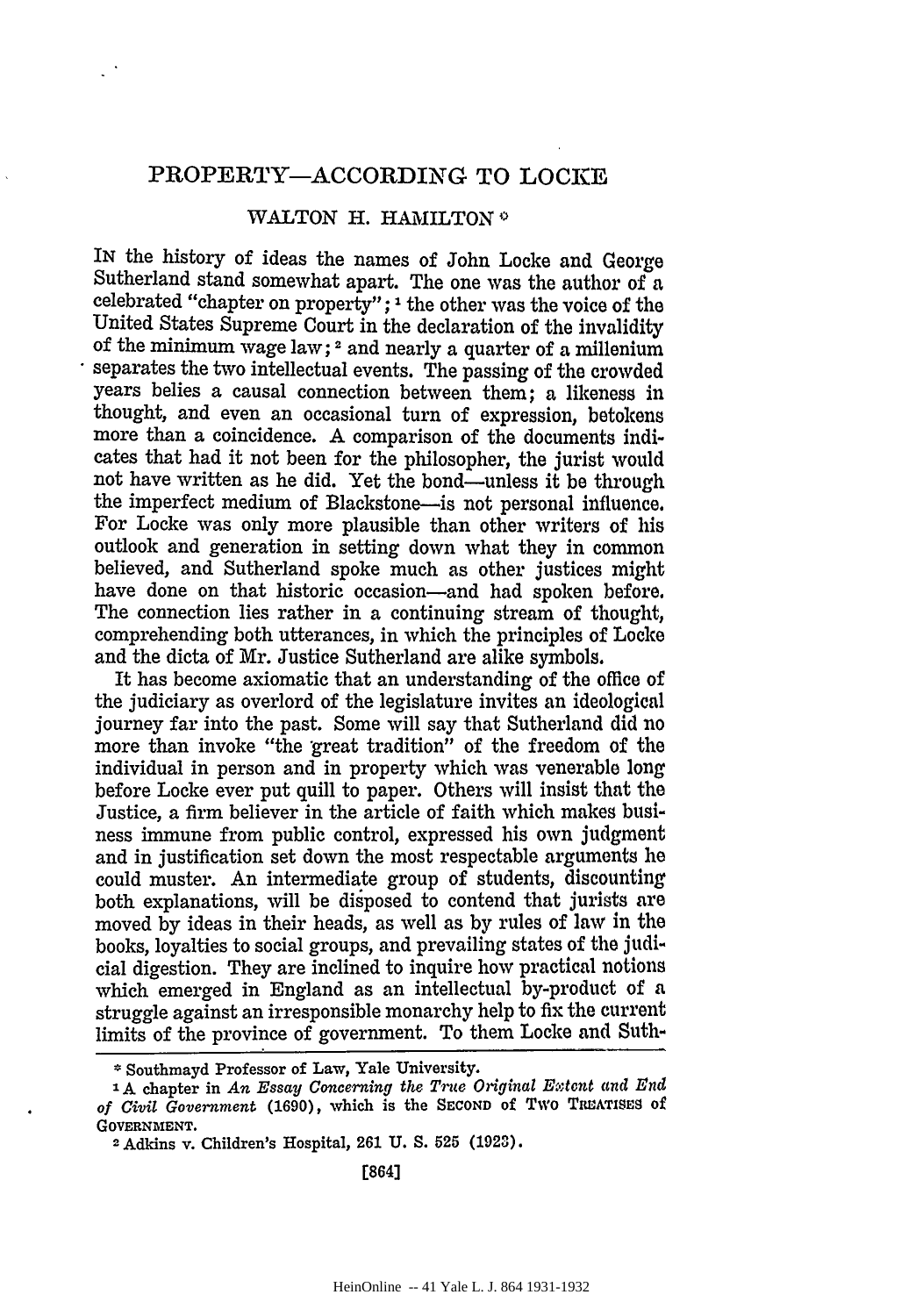## PROPERTY-ACCORDING TO LOCKE

## WALTON H. HAMILTON<sup>®</sup>

IN the history of ideas the names of John Locke and George Sutherland stand somewhat apart. The one was the author of a celebrated "chapter on property"; 1 the other was the voice of the United States Supreme Court in the declaration of the invalidity of the minimum wage law; 2 and nearly a quarter of a millenium separates the two intellectual events. The passing of the crowded years belies a causal connection between them; a likeness in thought, and even an occasional turn of expression, betokens more than a coincidence. A comparison of the documents indicates that had it not been for the philosopher, the jurist would not have written as he did. Yet the bond—unless it be through the imperfect medium of Blackstone-is not personal influence. For Locke was only more plausible than other writers of his outlook and generation in setting down what they in common believed, and Sutherland spoke much as other justices might have done on that historic occasion-and had spoken before. The connection lies rather in a continuing stream of thought, comprehending both utterances, in which the principles of Locke and the dicta of Mr. Justice Sutherland are alike symbols.

It has become axiomatic that an understanding of the office of the judiciary as overlord of the legislature invites an ideological journey far into the past. Some will say that Sutherland did no more than invoke "the great tradition" of the freedom of the individual in person and in property which was venerable long before Locke ever put quill to paper. Others will insist that the Justice, a firm believer in the article of faith which makes business immune from public control, expressed his own judgment and in justification set down the most respectable arguments he could muster. An intermediate group of students, discounting both explanations, will be disposed to contend that jurists are moved by ideas in their heads, as well as by rules of law in the books, loyalties to social groups, and prevailing states of the judicial digestion. They are inclined to inquire how practical notions which emerged in England as an intellectual by-product of a struggle against an irresponsible monarchy help to fix the current limits of the province of government. To them Locke and Suth-

<sup>\*</sup> Southmayd Professor of Law, Yale University.

<sup>&</sup>lt;sup>1</sup> A chapter in *An Essay Concerning the True Original Extent and End of Civil Government* (1690), which is the SECOND of TWO TREATISES o£ GOVERNMENT.

<sup>2</sup>Adkins v. Children's Hospital, 261 U. S. 525 (1923).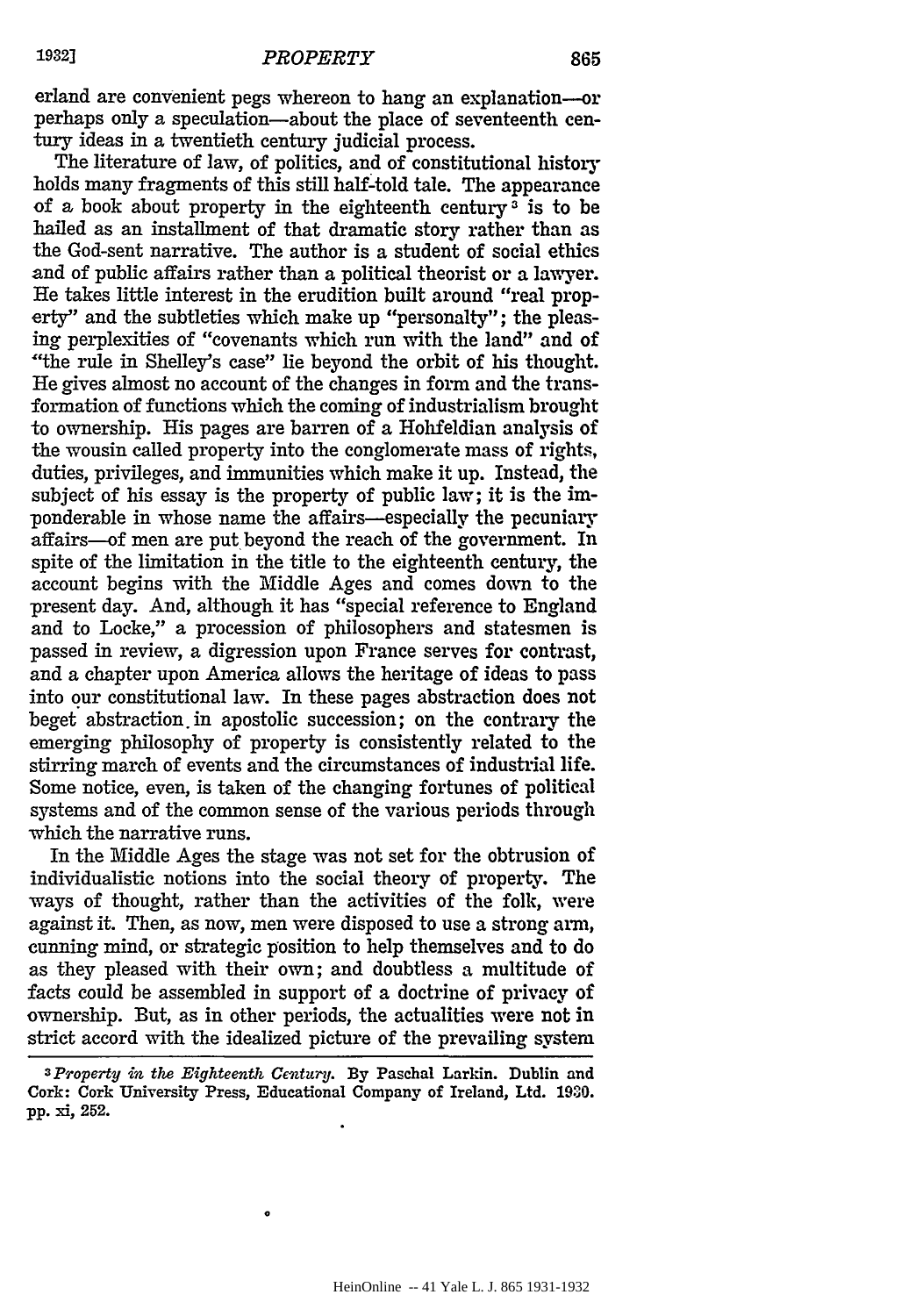erland are convenient pegs whereon to hang an explanation-or perhaps only a speculation-about the place of seventeenth century ideas in a twentieth century judicial process.

The literature of law, of politics, and of constitutional history holds many fragments of this still half-told tale. The appearance of a book about property in the eighteenth century<sup>3</sup> is to be hailed as an installment of that dramatic story rather than as the God-sent narrative. The author is a student of social ethics and of public affairs rather than a political theorist or a lawyer. He takes little interest in the erudition built around "real property'' and the subtleties which make up "personalty"; the pleasing perplexities of "covenants which run with the land" and of ~'the rule in Shelley's case" lie beyond the orbit of his thought. He gives almost no account of the changes in form and the transformation of functions which the coming of industrialism brought to ownership. His pages are barren of a Hohfeldian analysis of the wousin called property into the conglomerate mass of rights, duties, privileges, and immunities which make it up. Instead, the subject of his essay is the property of public law; it is the imponderable in whose name the affairs-especially the pecuniary affairs-of men are put beyond the reach of the government. In spite of the limitation in the title to the eighteenth century, the account begins with the Middle Ages and comes down to the present day. And, although it has "special reference to England and to Locke," a procession of philosophers and statesmen is passed in review, a digression upon France serves for contrast, and a chapter upon America allows the heritage of ideas to pass into our constitutional law. In these pages abstraction does not beget abstraction. in apostolic succession; on the contrary the emerging philosophy of property is consistently related to the stirring march of events and the circumstances of industrial life. Some notice, even, is taken of the changing fortunes of political systems and of the common sense of the various periods through which the narrative runs.

In the Middle Ages the stage was not set for the obtrusion of individualistic notions into the social theory of property. The ways of thought, rather than the activities of the folk, were against it. Then, as now, men were disposed to use a strong arm, cunning mind, or strategic position to help themselves and to do as they pleased with their own; and doubtless a multitude of facts could be assembled in support of a doctrine of privacy of ownership. But, as in other periods, the actualities were not in strict accord with the idealized picture of the prevailing system

0

<sup>&</sup>lt;sup>3</sup> Property in the Eighteenth Century. By Paschal Larkin. Dublin and Cork: Cork University Press, Educational Company of Ireland, Ltd. 1930. pp. xi, 252.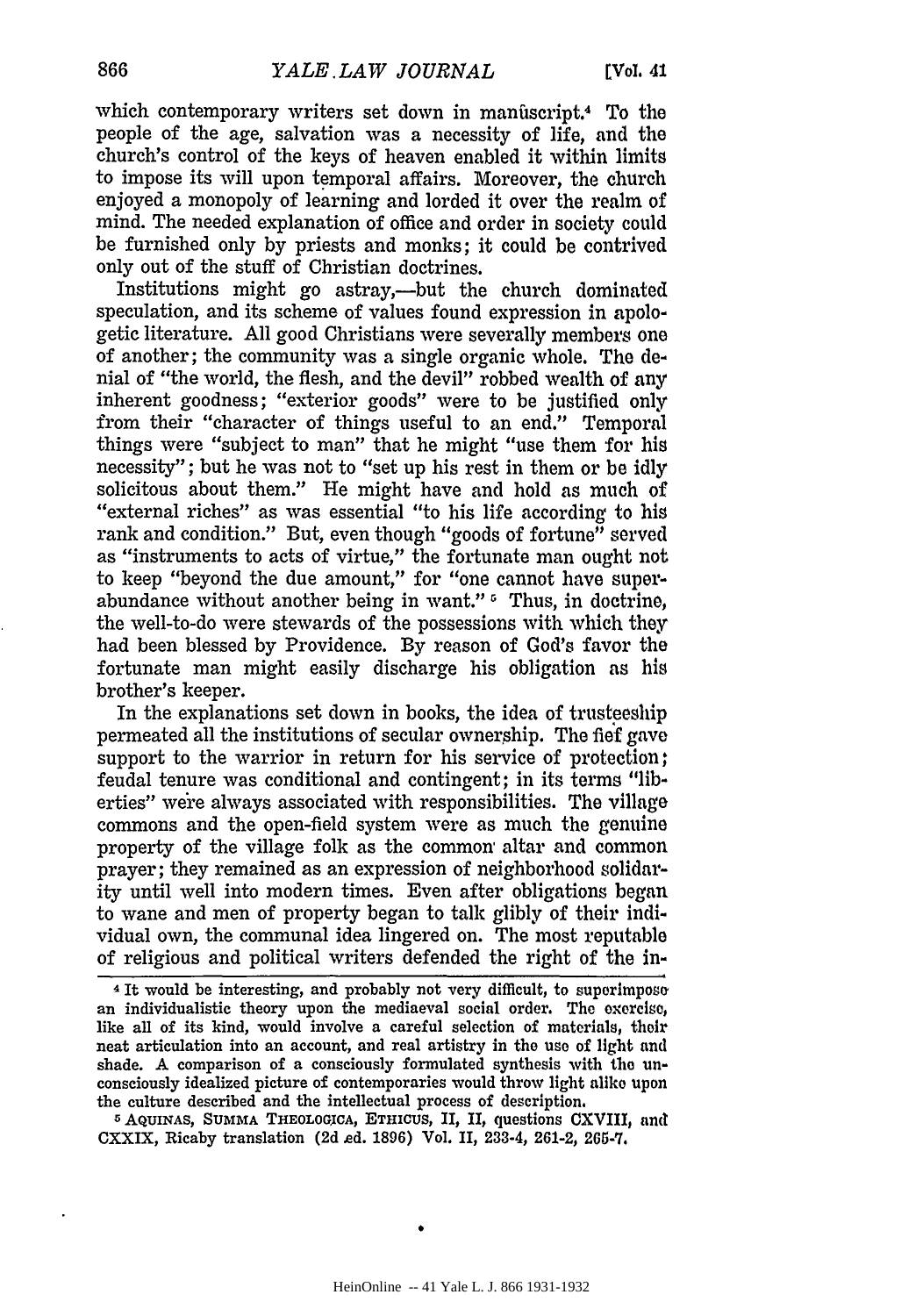which contemporary writers set down in manuscript.<sup>4</sup> To the people of the age, salvation was a necessity of life, and the church's control of the keys of heaven enabled it within limits to impose its will upon temporal affairs. Moreover, the church enjoyed a monopoly of learning and lorded it over the realm of mind. The needed explanation of office and order in society could be furnished only by priests and monks; it could be contrived only out of the stuff of Christian doctrines.

Institutions might go astray,—but the church dominated speculation, and its scheme of values found expression in apolo· getic literature. All good Christians were severally members one of another; the community was a single organic whole. The de· nial of "the world, the flesh, and the devil" robbed wealth of any inherent goodness; "exterior goods" were to be justified only from their "character of things useful to an end." Temporal things were "subject to man" that he might "use them for his necessity"; but he was not to "set up his rest in them or be idly solicitous about them." He might have and hold as much of "external riches" as was essential "to his life according to his rank and condition." But, even though "goods of fortune" served as "instruments to acts of virtue," the fortunate man ought not to keep "beyond the due amount," for ''one cannot have super· abundance without another being in want." $\delta$  Thus, in doctrine, the well-to-do were stewards of the possessions with which they had been blessed by Providence. By reason of God's favor the fortunate man might easily discharge his obligation as his brother's keeper.

In the explanations set down in books, the idea of trusteeship permeated all the institutions of secular ownership. The fief gave support to the warrior in return for his service of protection; feudal tenure was conditional and contingent; in its terms "lib· erties" were always associated with responsibilities. The village commons and the open-field system were as much the genuine property of the village folk as the common· altar and common prayer; they remained as an expression of neighborhood solidarity until well into modern times. Even after obligations began to wane and men of property began to talk glibly of their indi· vidual own, the communal idea lingered on. The most reputable of religious and political writers defended the right of the in-

<sup>4</sup> It would be interesting, and probably not very difficult, to superimposo an individualistic theory upon the mediaeval social order. The oxorciso, like all of its kind, would involve a careful selection of materials, their neat articulation into an account, and real artistry in the use of light and shade. A comparison of a consciously formulated synthesis with tho un· consciously idealized picture of contemporaries would throw light alike upon the culture described and the intellectual process of description.

<sup>5</sup> AQUINAS, SUMMA THEOLOGICA, ETHICUS, II, II, questions CXVIII, and CXXIX, Ricaby translation (2d ed. 1896) Vol. II, 233-4, 261-2, 265-7.

•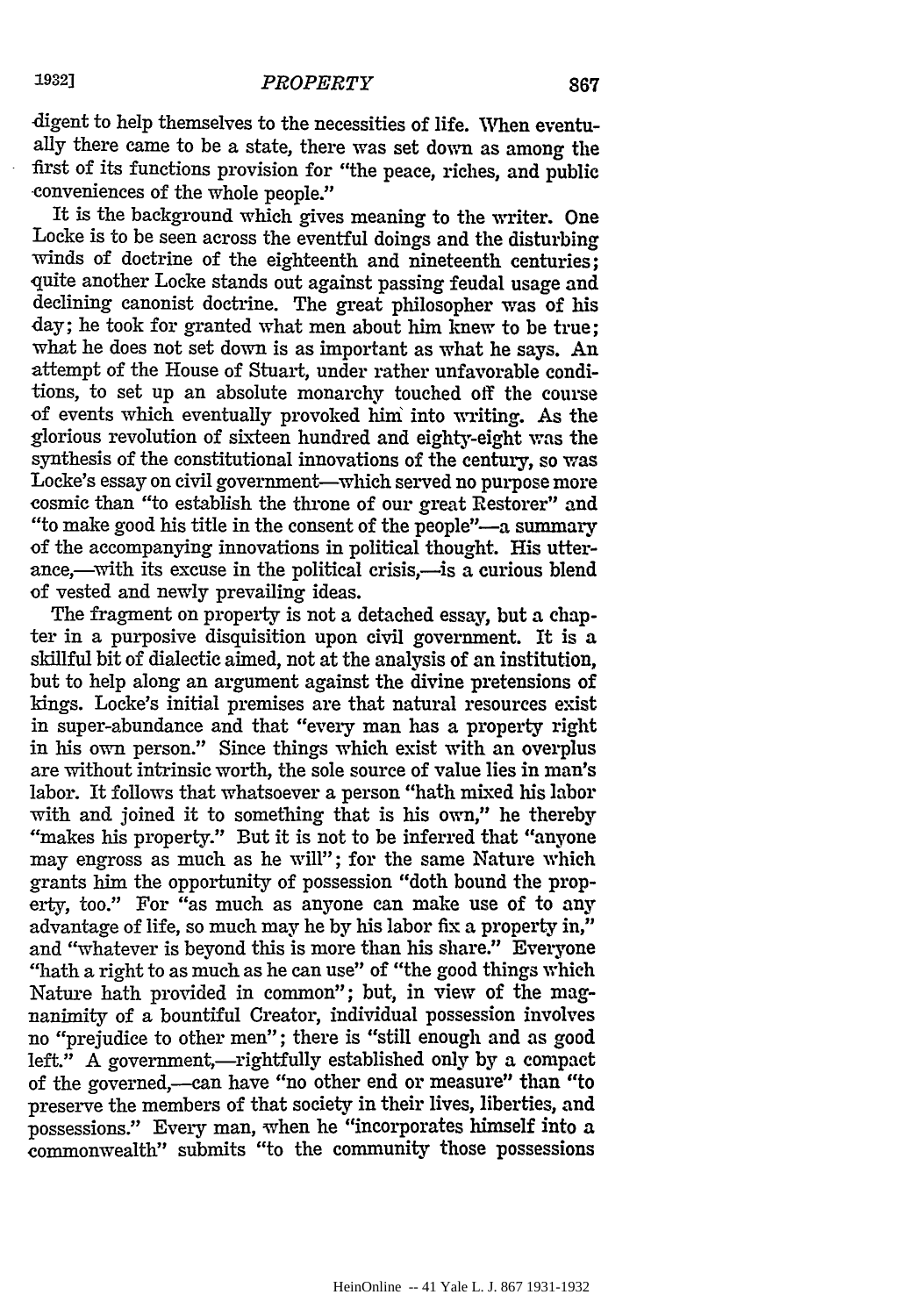digent to help themselves to the necessities of life. When eventually there came to be a state, there was set down as among the first of its functions provision for "the peace, riches, and public -conveniences of the whole people."

It is the background which gives meaning to the writer. One Locke is to be seen across the eventful doings and the disturbing winds of doctrine of the eighteenth and nineteenth centuries; quite another Locke stands out against passing feudal usage and declining canonist doctrine. The great philosopher was of his day; he took for granted what men about him knew to be true; what he does not set down is as important as what he says. An attempt of the House of Stuart, under rather unfavorable conditions, to set up an absolute monarchy touched off the course of events which eventually provoked him into writing. As the glorious revolution of sixteen hundred and eighty-eight was the synthesis of the constitutional innovations of the century, so was Locke's essay on civil government-which served no purpose more cosmic than "to establish the throne of our great Restorer" and "to make good his title in the consent of the people"-a summary of the accompanying innovations in political thought. His utterance,—with its excuse in the political crisis,—is a curious blend of vested and newly prevailing ideas.

The fragment on property is not a detached essay, but a chapter in a purposive disquisition upon civil government. It is a skillful bit of dialectic aimed, not at the analysis of an institution, but to help along an argument against the divine pretensions of kings. Locke's initial premises are that natural resources exist in super-abundance and that "every man has a property right in his own person." Since things which exist with an overplus are without intrinsic worth, the sole source of value lies in man's labor. It follows that whatsoever a person "hath mixed his labor with and joined it to something that is his own," he thereby "makes his property." But it is not to be inferred that "anyone may engross as much as he will"; for the same Nature which grants him the opportunity of possession "doth bound the property, too." For "as much as anyone can make use of to any advantage of life, so much may he by his labor fix a property in," and "whatever is beyond this is more than his share." Everyone "hath a right to as much as he can use" of "the good things which Nature hath provided in common"; but, in view of the magnanimity of a bountiful Creator, individual possession involves no "prejudice to other men"; there is "still enough and as good left." A government,—rightfully established only by a compact of the governed,-can have "no other end or measure" than "to preserve the members of that society in their lives, liberties, and possessions." Every man, when he "incorporates himself into a commonwealth" submits "to the community those possessions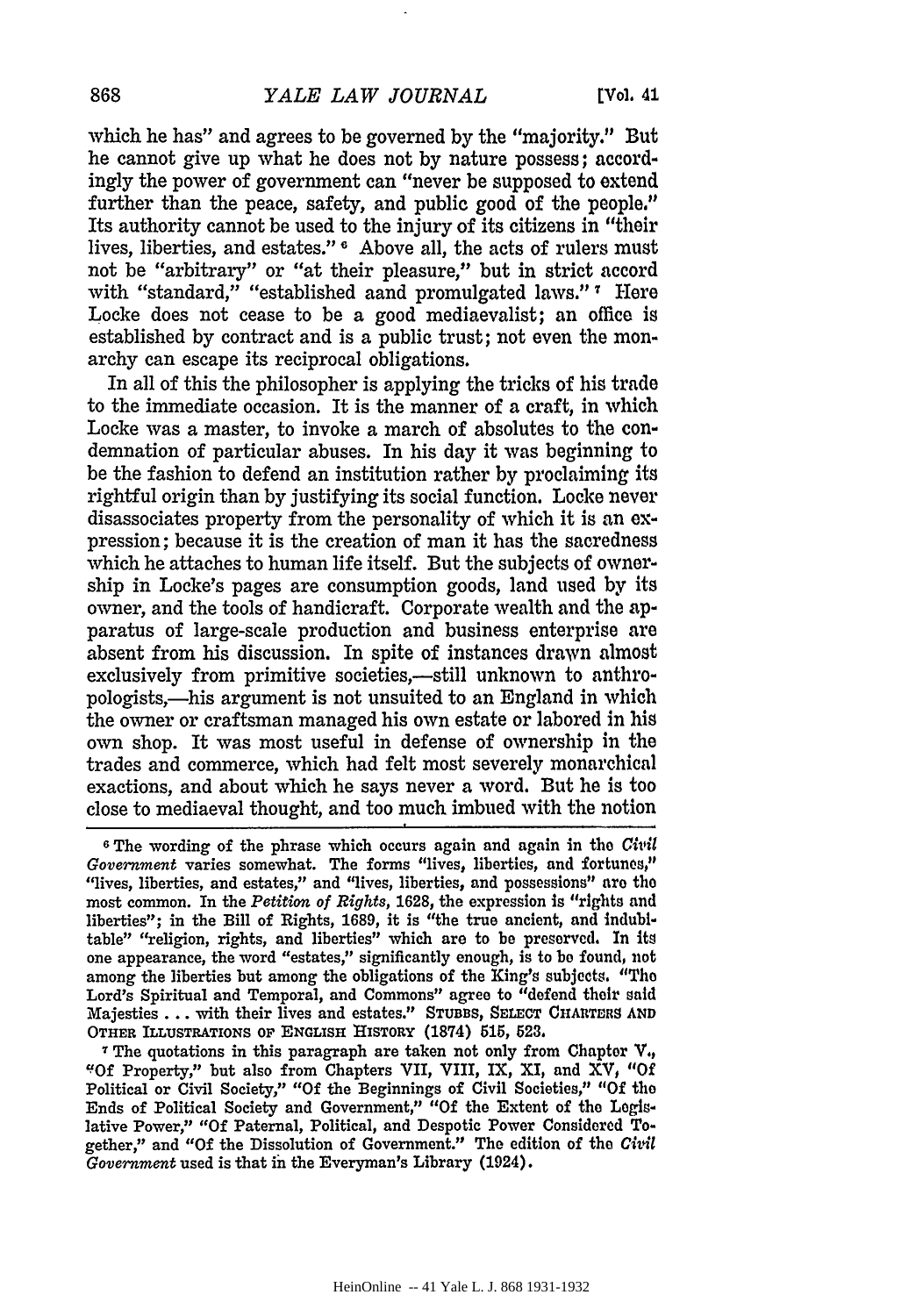which he has" and agrees to be governed by the "majority." But he cannot give up what he does not by nature possess; accord· ingly the power of government can "never be supposed to extend further than the peace, safety, and public good of the people." Its authority cannot be used to the injury of its citizens in "their lives, liberties, and estates." 6 Above all, the acts of rulers must not be "arbitrary" or "at their pleasure," but in strict accord with "standard," "established aand promulgated laws."<sup>7</sup> Here Locke does not cease to be a good mediaevalist; an office is established by contract and is a public trust; not even the monarchy can escape its reciprocal obligations.

In all of this the philosopher is applying the tricks of his trade to the immediate occasion. It is the manner of a craft, in which Locke was a master, to invoke a march of absolutes to the con· demnation of particular abuses. In his day it was beginning to be the fashion to defend an institution rather by proclaiming its rightful origin than by justifying its social function. Locke never disassociates property from the personality of which it is an expression; because it is the creation of man it has the sacredness which he attaches to human life itself. But the subjects of ownership in Locke's pages are consumption goods, land used by its owner, and the tools of handicraft. Corporate wealth and the apparatus of large-scale production and business enterprise are absent from his discussion. In spite of instances drawn almost exclusively from primitive societies,—still unknown to anthropologists,—his argument is not unsuited to an England in which the owner or craftsman managed his own estate or labored in his own shop. It was most useful in defense of ownership in the trades and commerce, which had felt most severely monarchical exactions, and about which he says never a word. But he is too close to mediaeval thought, and too much imbued with the notion

<sup>&</sup>lt;sup>6</sup> The wording of the phrase which occurs again and again in the Civil *Government* varies somewhat. The forms "lives, liberties, and fortunes," "lives, liberties, and estates," and "lives, liberties, and possessions" are tho most common. In the *Petition of Rights,* 1628, the expression is "rights and liberties"; in the Bill of Rights, 1689, it is "the true ancient, and indubi· table" "religion, rights, and liberties" which are to be preserved. In its one appearance, the word "estates," significantly enough, is to be found, not among the liberties but among the obligations of the King's subjects. "The Lord's Spiritual and Temporal, and Commons" agree to "defend their said Majesties ... with their lives and estates." STUBBS, SELECT CHARTERS AND OTHER ILLUSTRATIONS OF ENGLISH HISTORY (1874) 515, 523.

<sup>&</sup>lt;sup>7</sup> The quotations in this paragraph are taken not only from Chapter V., 'f0f Property," but also from Chapters VII, VIII, IX, XI, and XV, "Of Political or Civil Society," "Of the Beginnings of Civil Societies," "Of the Ends of Political Society and Government," "Of the Extent of the Legislative Power," "Of Paternal, Political, and Despotic Power Considered Together," and "Of the Dissolution of Government." The edition of the *Cittil Government* used is that fn the Everyman's Library (1924).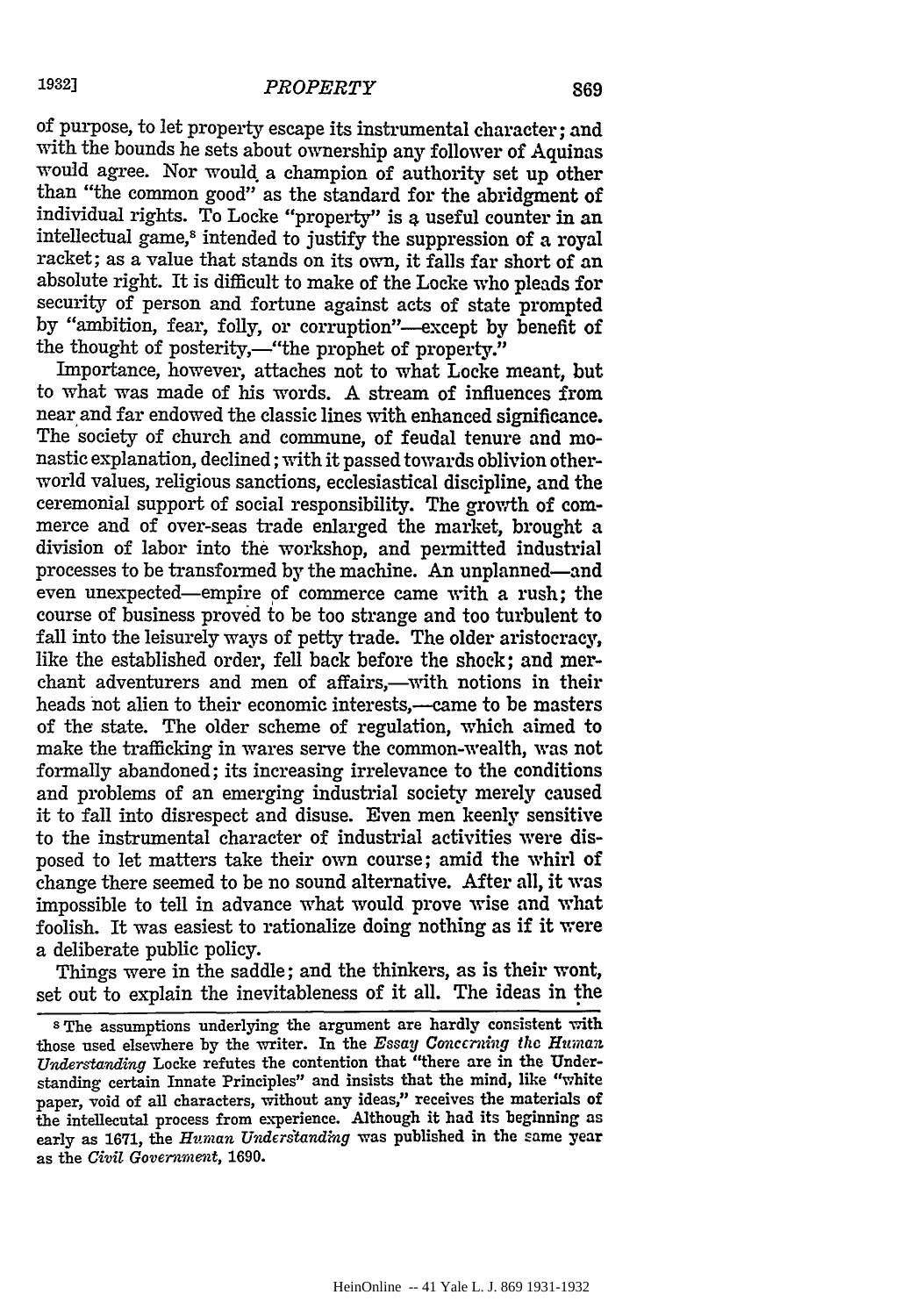of purpose, to let property escape its instrumental character; and with the bounds he sets about ownership any follower of Aquinas would agree. Nor would. a champion of authority set up other than "the common good" as the standard for the abridgment of individual rights. To Locke "property" is a useful counter in an intellectual game,<sup>8</sup> intended to justify the suppression of a royal racket; as a value that stands on its own, it falls far short of an absolute right. It is difficult to make of the Locke who pleads for security of person and fortune against acts of state prompted by "ambition, fear, folly, or corruption"-except by benefit of the thought of posterity,—"the prophet of property."

Importance, however, attaches not to what Locke meant, but to what was made of his words. A stream of influences from near and far endowed the classic lines with enhanced significance. The society of church and commune, of feudal tenure and monastic explanation, declined; with it passed towards oblivion otherworld values, religious sanctions, ecclesiastical discipline, and the ceremonial support of social responsibility. The growth of commerce and of over-seas trade enlarged the market, brought a division of labor into the workshop, and permitted industrial processes to be transformed by the machine. An unplanned-and even unexpected-empire of commerce came with a rush; the course of business proved to be too strange and too turbulent to fall into the leisurely ways of petty trade. The older aristocracy, like the established order, fell back before the shock; and merchant adventurers and men of affairs,--with notions in their heads not alien to their economic interests,—came to be masters of the state. The older scheme of regulation, which aimed to make the trafficking in wares serve the common-wealth, was not formally abandoned; its increasing irrelevance to the conditions and problems of an emerging industrial society merely caused it to fall into disrespect and disuse. Even men keenly sensitive to the instrumental character of industrial activities were disposed to let matters take their own course; amid the whirl of change there seemed to be no sound alternative. After all, it was impossible to tell in advance what would prove wise and what foolish. It was easiest to rationalize doing nothing as if it were a deliberate public policy.

Things were in the saddle; and the thinkers, as is their wont, set out to explain the inevitableness of it all. The ideas in the

s The assumptions underlying the argument are hardly consistent with those used elsewhere by the writer. In the *Essay Concerning the Human*  Understanding Locke refutes the contention that "there are in the Understanding certain Innate Principles" and insists that the mind, like "white paper, void of all characters, without any ideas," receives the materials of the intellecutal process from experience. Although it had its beginning as early as 1671, the *Human Undcrstandmg* was published in the same year as the *Civil Government,* 1690.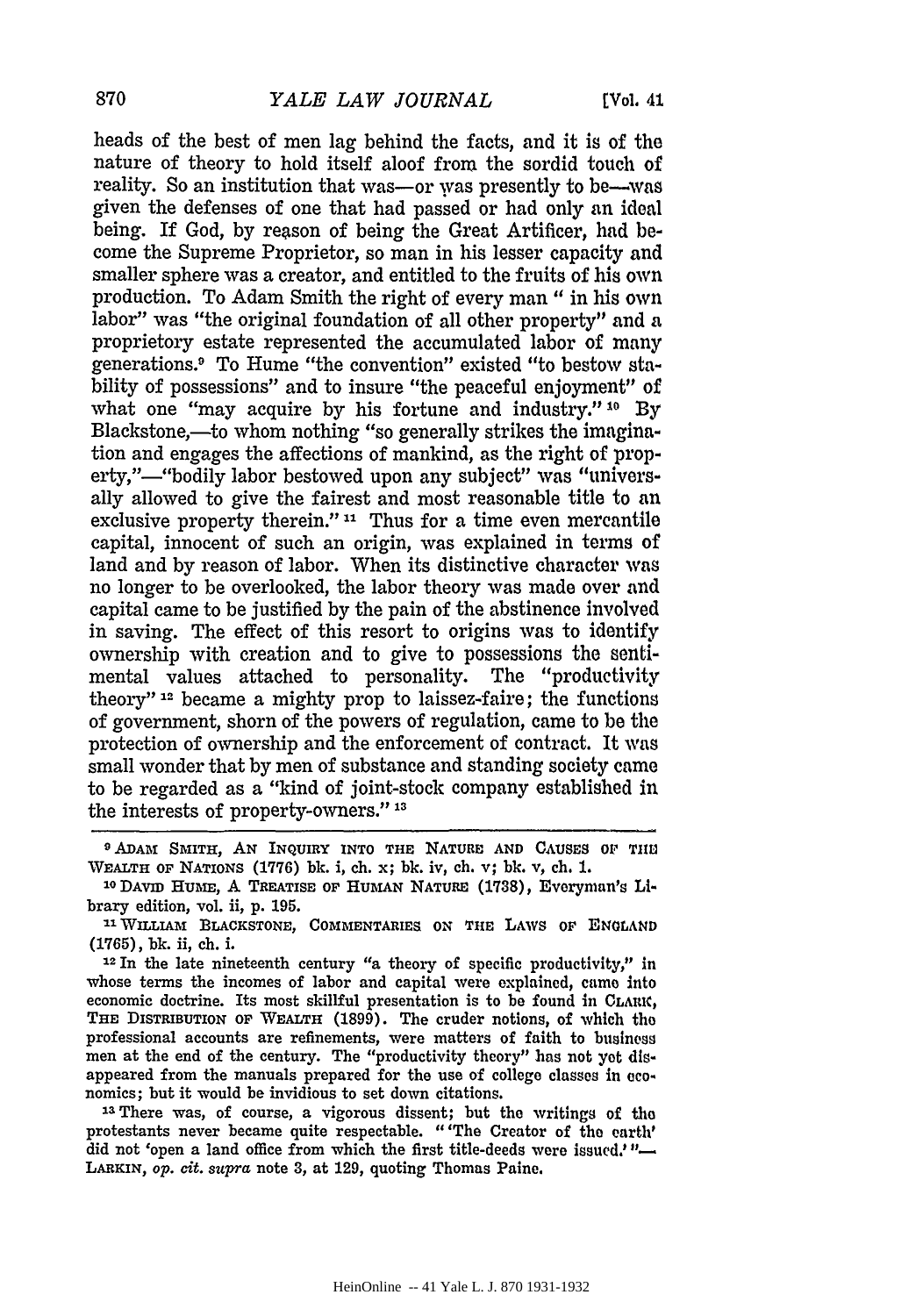heads of the best of men lag behind the facts, and it is of the nature of theory to hold itself aloof from the sordid touch of reality. So an institution that was-or was presently to be-was given the defenses of one that had passed or had only an ideal being. If God, by reason of being the Great Artificer, had become the Supreme Proprietor, so man in his lesser capacity and smaller sphere was a creator, and entitled to the fruits of his own production. To Adam Smith the right of every man " in his own labor" was "the original foundation of all other property" and a proprietary estate represented the accumulated labor of many generations.9 To Hume "the convention" existed "to bestow stn~ bility of possessions" and to insure "the peaceful enjoyment" of what one "may acquire by his fortune and industry." <sup>10</sup> By Blackstone,—to whom nothing "so generally strikes the imagination and engages the affections of mankind, as the right of prop~ erty,"—"bodily labor bestowed upon any subject" was "universally allowed to give the fairest and most reasonable title to an exclusive property therein."<sup>11</sup> Thus for a time even mercantile capital, innocent of such an origin, was explained in terms of land and by reason of labor. When its distinctive character was no longer to be overlooked, the labor theory was made over and capital came to be justified by the pain of the abstinence involved in saving. The effect of this resort to origins was to identify ownership with creation and to give to possessions the sentimental values attached to personality. The "productivity theory" 12 became a mighty prop to laissez-faire; the functions of government, shorn of the powers of regulation, came to be the protection of ownership and the enforcement of contract. It was small wonder that by men of substance and standing society came to be regarded as a "kind of joint-stock company established in the interests of property-owners." 13

<sup>9</sup> ADAM SMITH, AN INQUIRY INTO THE NATURE AND CAUSES OF THE WEALTH OF NATIONS (1776) bk. i, ch. x; bk. iv, ch. v; bk. v, ch, 1.

<sup>10</sup> DAVID HUME, A TREATISE OF HUMAN NATURE (1738), Everyman's Library edition, vol. ii, p. 195.

<sup>11</sup> WILLIAM BLACKSTONE, COMMENTARIES ON THE LAWS OF ENGLAND (1765), bk. ii, ch. i.

<sup>12</sup> In the late nineteenth century "a theory of specific productivity," in whose terms the incomes of labor and capital were explained, came into economic doctrine. Its most skillful presentation is to be found in CLARK, THE DISTRIBUTION OF WEALTH (1899). The cruder notions, of which the professional accounts are refinements, were matters of faith to business men at the end of the century. The "productivity theory" has not yot dis· appeared from the manuals prepared for the use of college classes in economics; but it would be invidious to set down citations.

1a There was, of course, a vigorous dissent; but the writings of tho protestants never became quite respectable. "The Creator of the earth' did not 'open a land office from which the first title-deeds were issued.' "-LARKIN, *op. cit. supra* note 3, at 129, quoting Thomas Paine.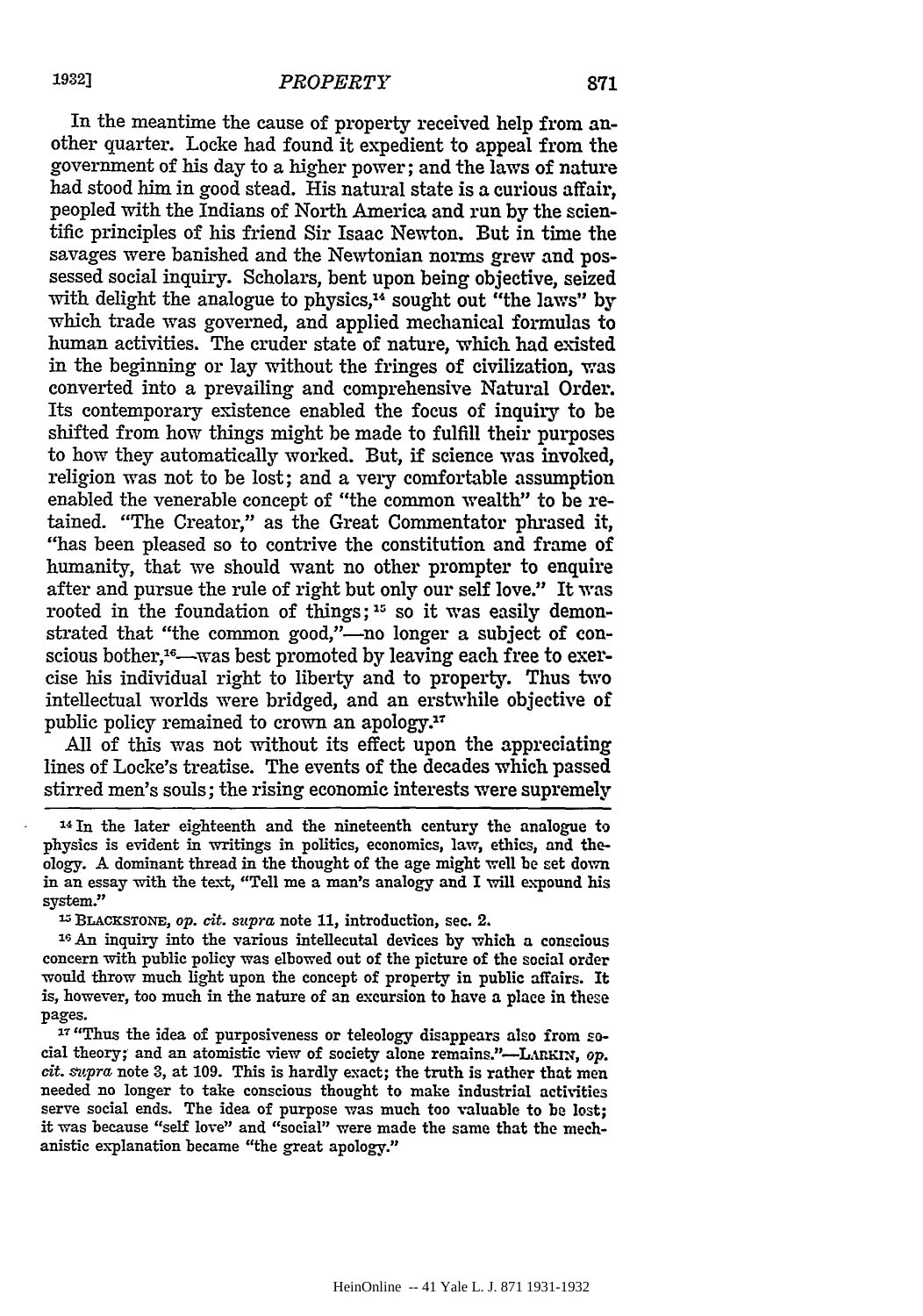In the meantime the cause of property received help from another quarter. Locke had found it expedient to appeal from the government of his day to a higher power; and the laws of nature had stood him in good stead. His natural state is a curious affair, peopled with the Indians of North America and run by the scientific principles of his friend Sir Isaac Newton. But in time the savages were banished and the Newtonian norms grew and possessed social inquiry. Scholars, bent upon being objective, seized with delight the analogue to physics,<sup>14</sup> sought out "the laws" by which trade was governed, and applied mechanical formulas to human activities. The cruder state of nature, which had existed in the beginning or lay without the fringes of civilization, was converted into a prevailing and comprehensive Natural Order. Its contemporary existence enabled the focus of inquiry to be shifted from how things might be made to fulfill their purposes to how they automatically worked. But, if science was invoked, religion was not to be lost; and a very comfortable assumption enabled the venerable concept of "the common wealth" to be retained. "The Creator," as the Great Commentator phrased it, "has been pleased so to contrive the constitution and frame of humanity, that we should want no other prompter to enquire after and pursue the rule of right but only our self love." It was rooted in the foundation of things;  $15$  so it was easily demonstrated that "the common good,"-no longer a subject of conscious bother,<sup>16</sup>—was best promoted by leaving each free to exercise his individual right to liberty and to property. Thus two intellectual worlds were bridged, and an erstwhile objective of public policy remained to crown an apology.17

All of this was not without its effect upon the appreciating lines of Locke's treatise. The events of the decades which passed stirred men's souls; the rising economic interests were supremely

<sup>14</sup> In the later eighteenth and the nineteenth century the analogue to physics is evident in writings in politics, economics, law, ethics, and theology. A dominant thread in the thought of the age might well be set down in an essay with the text, "Tell me a man's analogy and I will expound his system."

~BLACKSTONE, *op. cit. supra* note 11, introduction, sec. 2.

 $16$  An inquiry into the various intellecutal devices by which a conscious concern with public policy was elbowed out of the picture of the social order would throw much light upon the concept of property in public affairs. It is, however, too much in the nature of an excursion to have a place in these pages.

<sup>17</sup> "Thus the idea of purposiveness or teleology disappears also from social theory; and an atomistic view of society alone remains."-LARKIN, op. *cit. supra* note 3, at 109. This is hardly exact; the truth is rather that men needed no longer to take conscious thought to make industrial activities serve social ends. The idea of purpose was much too valuable to be lost; it was because "self love" and "social" were made the same that the mechanistic explanation became "the great apology."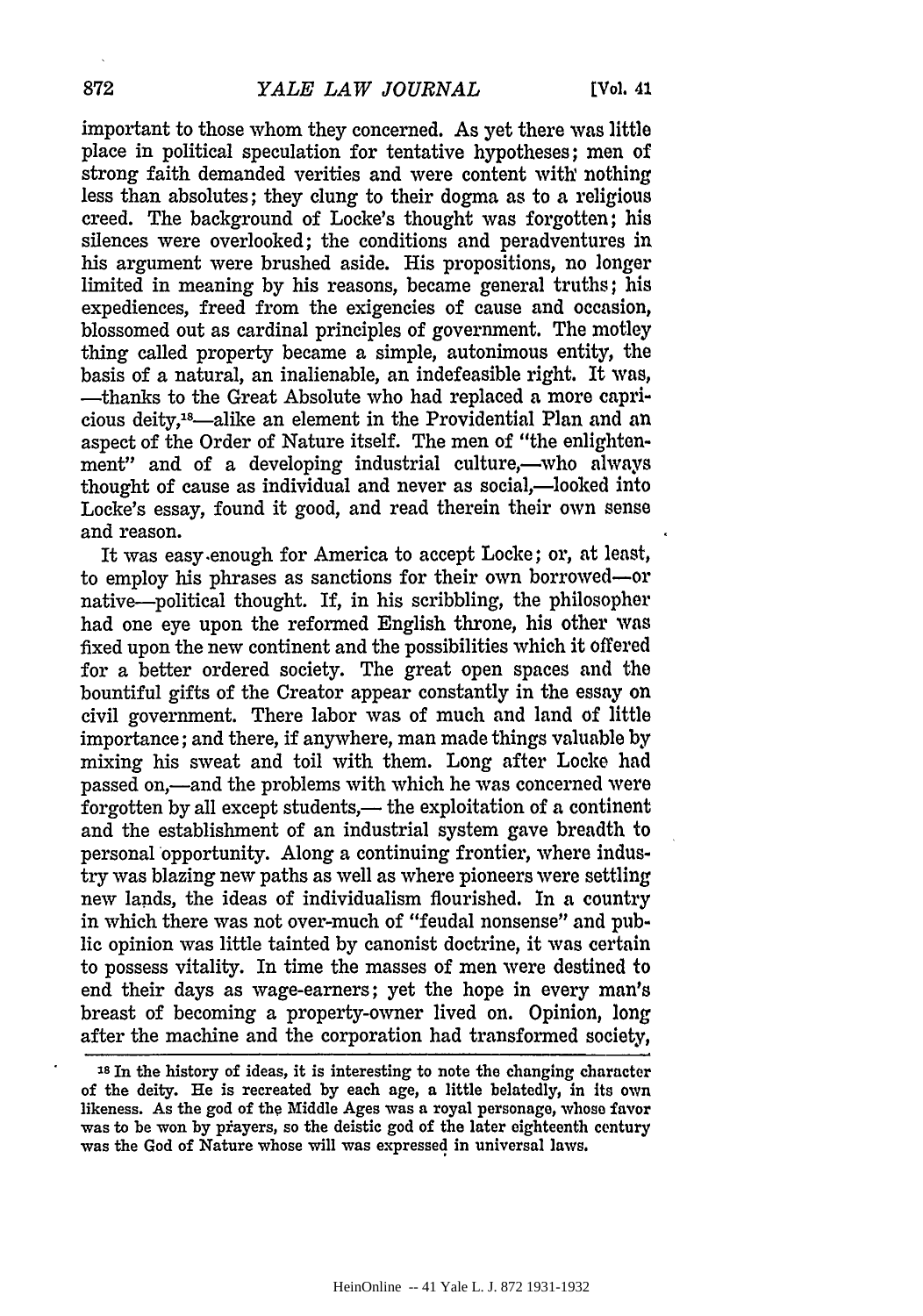important to those whom they concerned. As yet there was little place in political speculation for tentative hypotheses; men of strong faith demanded verities and were content with nothing less than absolutes; they clung to their dogma as to a religious creed. The background of Locke's thought was forgotten; his silences were overlooked; the conditions and peradventures in his argument were brushed aside. His propositions, no longer limited in meaning by his reasons, became general truths; his expediences, freed from the exigencies of cause and occasion, blossomed out as cardinal principles of government. The motley thing called property became a simple, autonimous entity, the basis of a natural, an inalienable, an indefeasible right. It was, -thanks to the Great Absolute who had replaced a more capri· cious deity, 18-alike an element in the Providential Plan and an aspect of the Order of Nature itself. The men of "the enlightenment" and of a developing industrial culture,—who always thought of cause as individual and never as social,-looked into Locke's essay, found it good, and read therein their own sense and reason.

It was easy .enough for America to accept Locke; or, at least, to employ his phrases as sanctions for their own borrowed-or native-political thought. If, in his scribbling, the philosopher had one eye upon the reformed English throne, his other was fixed upon the new continent and the possibilities which it offered for a better ordered society. The great open spaces and the bountiful gifts of the Creator appear constantly in the essay on civil government. There labor was of much and land of little importance; and there, if anywhere, man made things valuable by mixing his sweat and toil with them. Long after Locke had passed on,—and the problems with which he was concerned were forgotten by all except students,— the exploitation of a continent and the establishment of an industrial system gave breadth to personal opportunity. Along a continuing frontier, where industry was blazing new paths as well as where pioneers were settling new lands, the ideas of individualism flourished. In a country in which there was not over-much of "feudal nonsense" and public opinion was little tainted by canonist doctrine, it was certain to possess vitality. In time the masses of men were destined to end their days as wage-earners; yet the hope in every man's breast of becoming a property-owner lived on. Opinion, long after the machine and the corporation had transformed society,

<sup>1</sup>s In the history of ideas, it is interesting to note the changing character of the deity. He is recreated by each age, a little belatedly, in its own likeness. As the god of the Middle Ages was a royal personage, whose favor was to be won by prayers, so the deistic god of the later eighteenth century was the God of Nature whose will was expressed in universal laws.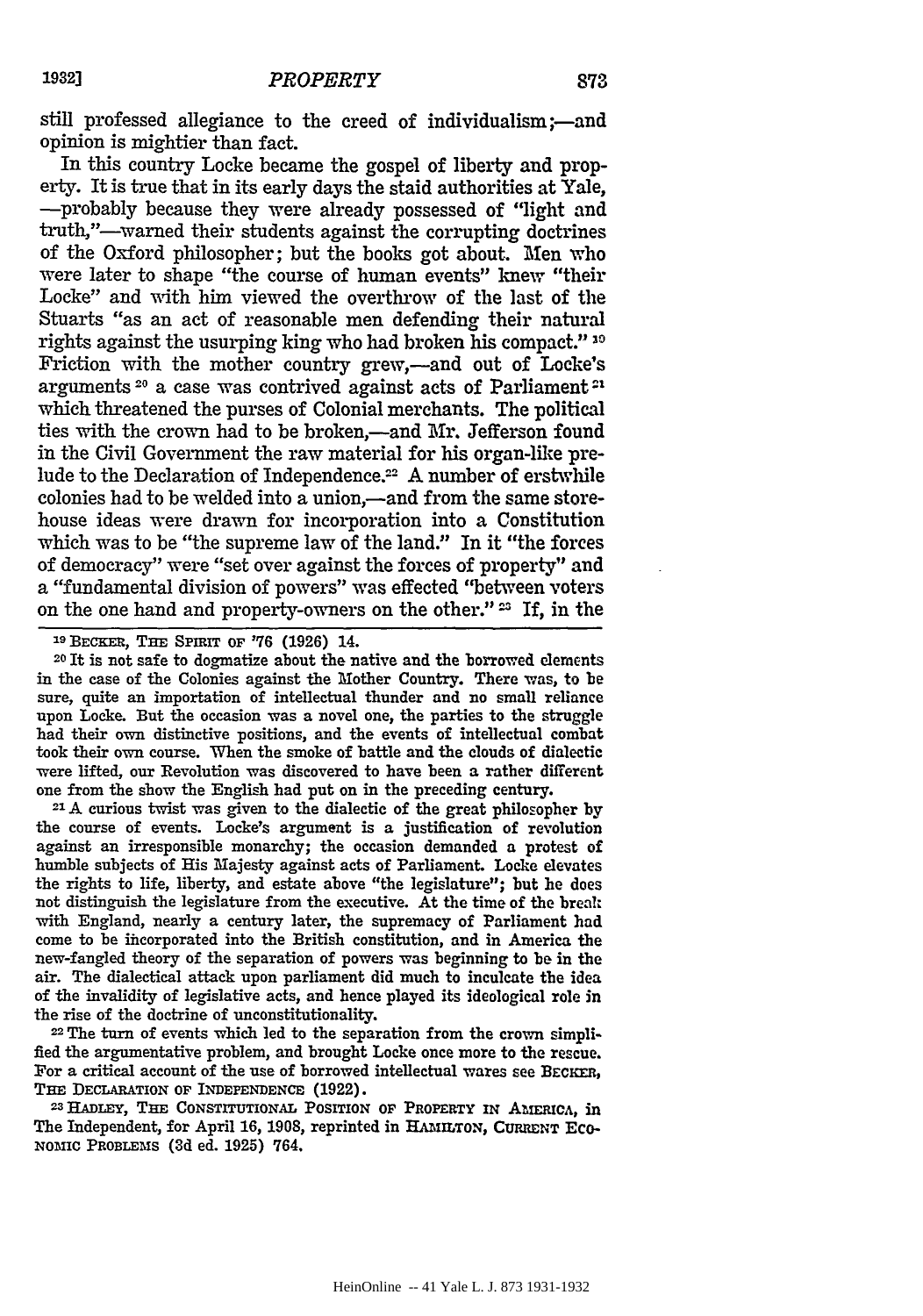still professed allegiance to the creed of individualism;-and opinion is mightier than fact.

In this country Locke became the gospel of liberty and property. It is true that in its early days the staid authorities at Yale, -probably because they were already possessed of ''light and truth,"-warned their students against the corrupting doctrines of the Oxford philosopher; but the books got about. Men who were later to shape "the course of human events" knew "their Locke" and with him viewed the overthrow of the last of the Stuarts "as an act of reasonable men defending their natural rights against the usurping king who had broken his compact." 10 Friction with the mother country grew,-and out of Locke's arguments<sup>20</sup> a case was contrived against acts of Parliament<sup>21</sup> which threatened the purses of Colonial merchants. The political ties with the crown had to be broken,—and Mr. Jefferson found in the Civil Government the raw material for his organ-like prelude to the Declaration of Independence.<sup>22</sup> A number of erstwhile colonies had to be welded into a union,—and from the same storehouse ideas were drawn for incorporation into a Constitution which was to be "the supreme law of the land." In it "the forces" of democracy" were "set over against the forces of property" and a "fundamental division of powers" was effected "between voters on the one hand and property-owners on the other." 23 If, in the

<sup>19</sup> BECKER, THE SPIRIT OF '76 (1926) 14.

20 It is not safe to dogmatize about the native and the borrowed clements in the case of the Colonies against the Mother Country. There was, to be sure, quite an importation of intellectual thunder and no small reliance upon Locke. But the occasion was a novel one, the parties to the struggle had their own distinctive positions, and the events of intellectual combat took their own course. When the smoke of battle and the clouds of dialectic were lifted, our Revolution was discovered to have been a rather different one from the show the English had put on in the preceding century. 21 A curious twist was given to the dialectic of the great philosopher by

the course of events. Locke's argument is a justification of revolution against an irresponsible monarchy; the occasion demanded a protest of humble subjects of His Majesty against acts of Parliament. Locke elevates the rights to life, liberty, and estate above "the legislature"; but he does not distinguish the legislature from the executive. At the time of the break with England, nearly a century later, the supremacy of Parliament had come to be incorporated into the British constitution, and in America the new-fangled theory of the separation of powers was beginning to be in the air. The dialectical attack upon parliament did much to inculcate the idea of the invalidity of legislative acts, and hence played its ideological role in the rise of the doctrine of unconstitutionality.

<sup>2</sup>2 The turn of events which led to the separation from the crown simpli· fied the argumentative problem, and brought Locke once more to the rescue. For a critical account of the use of borrowed intellectual wares see BECKER. THE DECLARATION OF INDEPENDENCE (1922).

<sup>23</sup>HADLEY, THE CONSTITUTIONAL POSITION OF PROPERTY IN AMERICA, in The Independent, for April 16, 1908, reprinted in HAMILTON, CURRENT Eco. NOMIC PROBLEMS (3d ed. 1925) 764.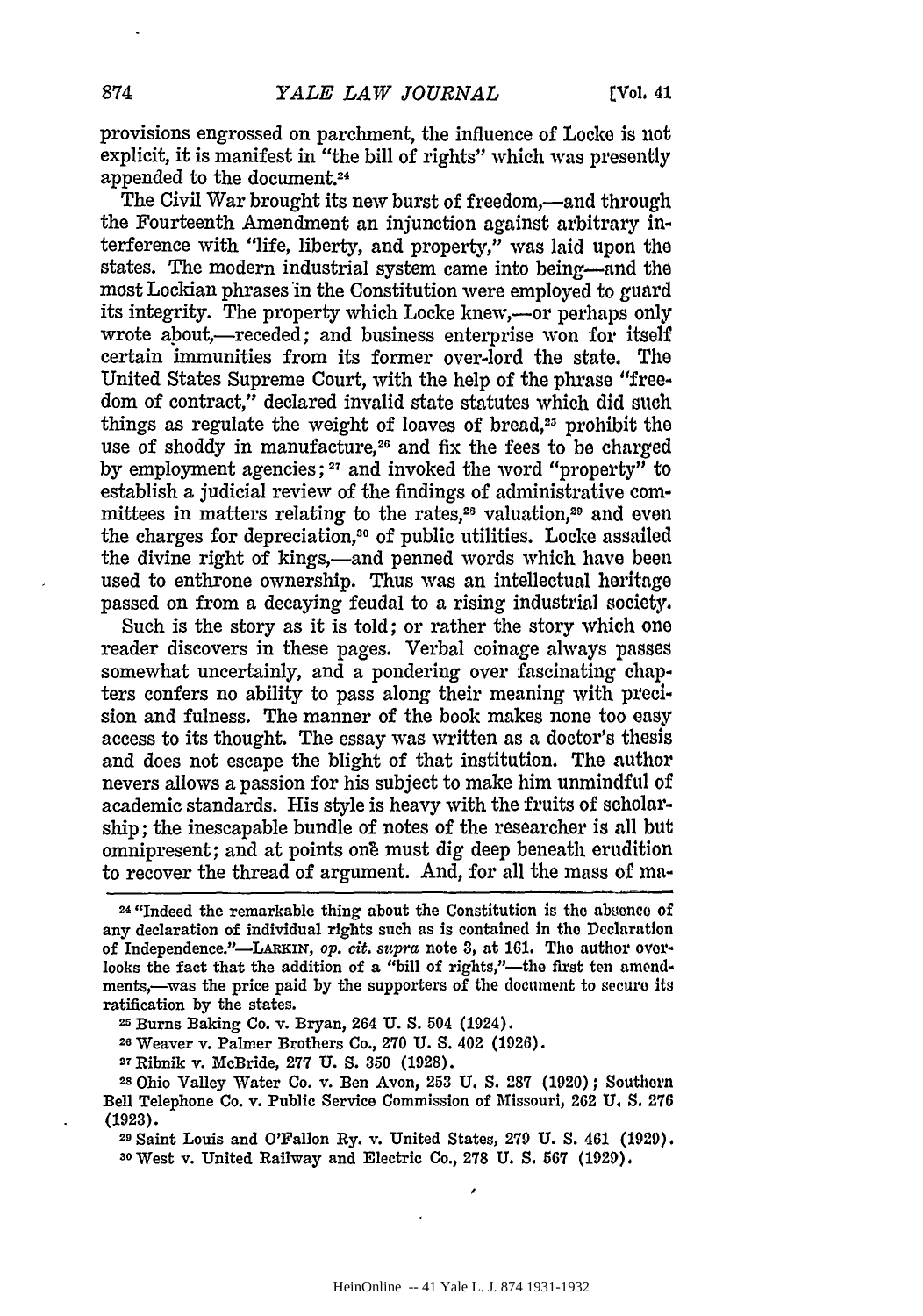provisions engrossed on parchment, the influence of Locke is not explicit, it is manifest in "the bill of rights" which was presently appended to the document.24

The Civil War brought its new burst of freedom,—and through the Fourteenth Amendment an injunction against arbitrary in· terference with "life, liberty, and property," was laid upon the states. The modern industrial system came into being—and the most Lockian phrases 'in the Constitution were employed to guard its integrity. The property which Locke knew,—or perhaps only wrote about,—receded; and business enterprise won for itself certain immunities from its former over·lord the state. The United States Supreme Court, with the help of the phrase "freedom of contract," declared invalid state statutes which did such things as regulate the weight of loaves of bread, $25$  prohibit the use of shoddy in manufacture,<sup>26</sup> and fix the fees to be charged by employment agencies;  $27$  and invoked the word "property" to establish a judicial review of the findings of administrative committees in matters relating to the rates,<sup>28</sup> valuation,<sup>29</sup> and even the charges for depreciation,<sup>30</sup> of public utilities. Locke assailed the divine right of kings,—and penned words which have been used to enthrone ownership. Thus was an intellectual heritage passed on from a decaying feudal to a rising industrial society.

Such is the story as it is told; or rather the story which one reader discovers in these pages. Verbal coinage always passes somewhat uncertainly, and a pondering over fascinating chapters confers no ability to pass along their meaning with precision and fulness. The manner of the book makes none too easy access to its thought. The essay was written as a doctor's thesis and does not escape the blight of that institution. The author nevers allows a passion for his subject to make him unmindful of academic standards. His style is heavy with the fruits of scholarship; the inescapable bundle of notes of the researcher is all but omnipresent; and at points one must dig deep beneath erudition to recover the thread of argument. And, for all the mass of ma-

2s Burns Baking Co. v. Bryan, 264 U. S. 504 (1924).

2a Weaver v. Palmer Brothers Co., 270 U. S. 402 (1926).

21 Ribnik v. McBride, 277 U. S. 350 (1928).

<sup>28</sup> Ohio Valley Water Co. v. Ben Avon, 253 U. S. 287 (1920); Southorn Bell Telephone Co. v. Public Service Commission of Missouri, 262 U, S. 276 (1923).

20 Saint Louis and O'Fallon Ry. v. United States, 279 U. S. 461 (1920). ao West v. United Railway and Electric Co., 278 U. S. 567 (1929).

<sup>&</sup>lt;sup>24</sup> "Indeed the remarkable thing about the Constitution is the absonce of any declaration of individual rights such as is contained in tho Declaration of Independence."-LARKIN, op. cit. supra note 3, at 161. The author overlooks the fact that the addition of a "bill of rights,"-the first ten amendments,-was the price paid by the supporters of the document to secure its ratification by the states.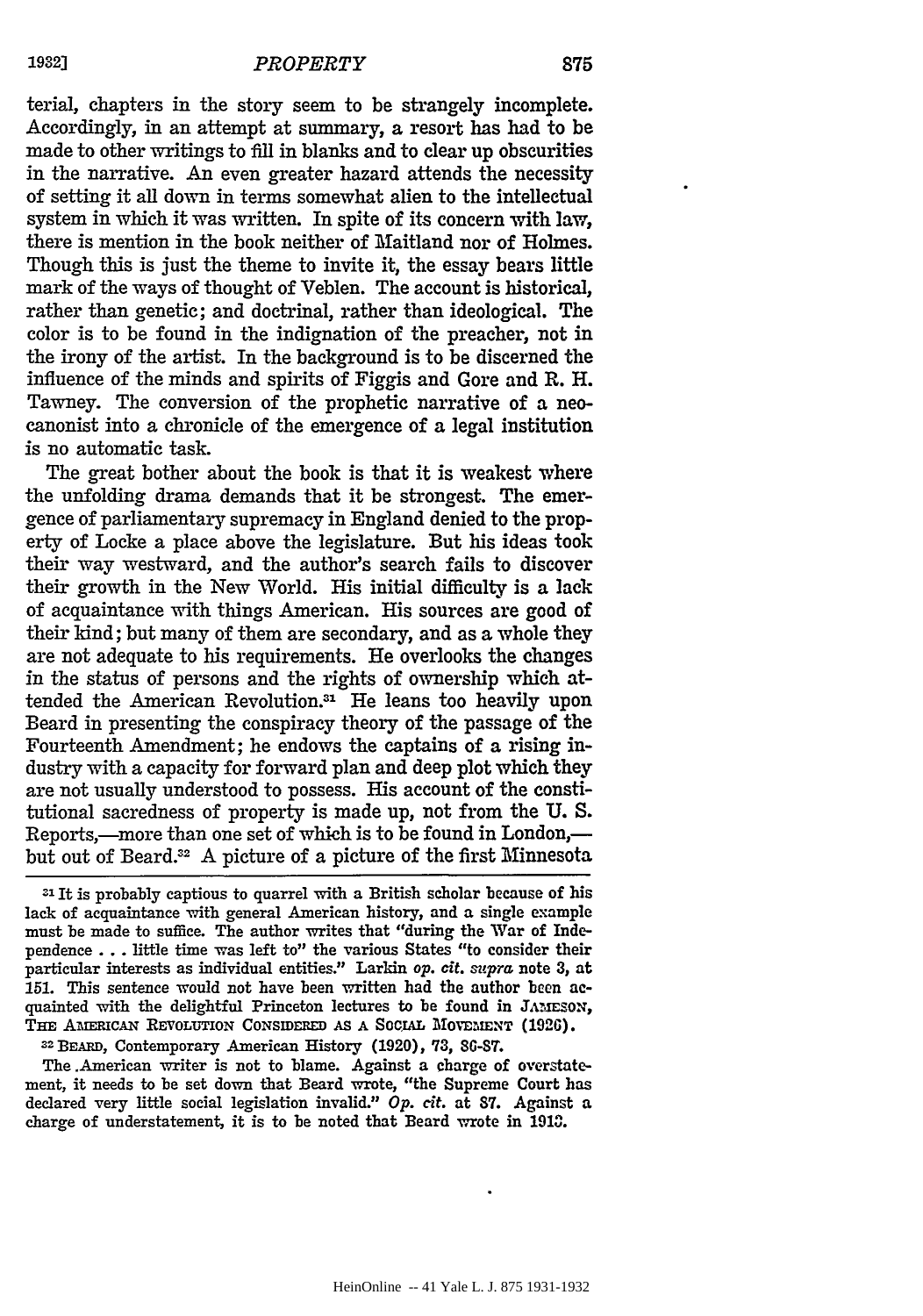terial, chapters in the story seem to be strangely incomplete. Accordingly, in an attempt at summary, a resort has had to be made to other writings to fill in blanks and to clear up obscurities in the narrative. An even greater hazard attends the necessity of setting it all down in terms somewhat alien to the intellectual system in which it was written. In spite of its concern with law, there is mention in the book neither of Maitland nor of Holmes. Though this is just the theme to invite it, the essay bears little mark of the ways of thought of Veblen. The account is historical, rather than genetic; and doctrinal, rather than ideological. The color is to be found in the indignation of the preacher, not in the irony of the artist. In the background is to be discerned the influence of the minds and spirits of Figgis and Gore and R. H. Tawney. The conversion of the prophetic narrative of a neocanonist into a chronicle of the emergence of a legal institution is no automatic task.

The great bother about the book is that it is weakest where the unfolding drama demands that it be strongest. The emergence of parliamentary supremacy in England denied to the property of Locke a place above the legislature. But his ideas took their way westward, and the author's search fails to discover their growth in the New World. His initial difficulty is a lack of acquaintance with things American. His sources are good of their kind; but many of them are secondary, and as a whole they are not adequate to his requirements. He overlooks the changes in the status of persons and the rights of ownership which attended the American Revolution.31 He leans too heavily upon Beard in presenting the conspiracy theory of the passage of the Fourteenth Amendment; he endows the captains of a rising industry with a capacity for forward plan and deep plot which they are not usually understood to possess. His account of the constitutional sacredness of property is made up, not from the U. S. Reports,—more than one set of which is to be found in London, but out of Beard. $32$  A picture of a picture of the first Minnesota

<sup>21</sup> It is probably captious to quarrel with a British scholar because of his lack of acquaintance with general American history, and a single example must be made to suffice. The author writes that "during the War of Independence  $\ldots$  little time was left to" the various States "to consider their particular interests as individual entities." Larkin op. *cit. supra* note 3, at 151. This sentence would not have been written had the author been acquainted with the delightful Princeton lectures to be found in JAMESON, THE AMERICAN REVOLUTION CONSIDERED AS A SOCIAL MOVEMENT (1926).

<sup>32</sup> BEARD, Contemporary American History (1920), 73, 86-87.

The .American writer is not to blame. Against a charge of overstatement, it needs to be set down that Beard wrote, "the Supreme Court has declared very little social legislation invalid." Op. cit. at 87. Against a charge of understatement, it is to be noted that Beard wrote in 1910.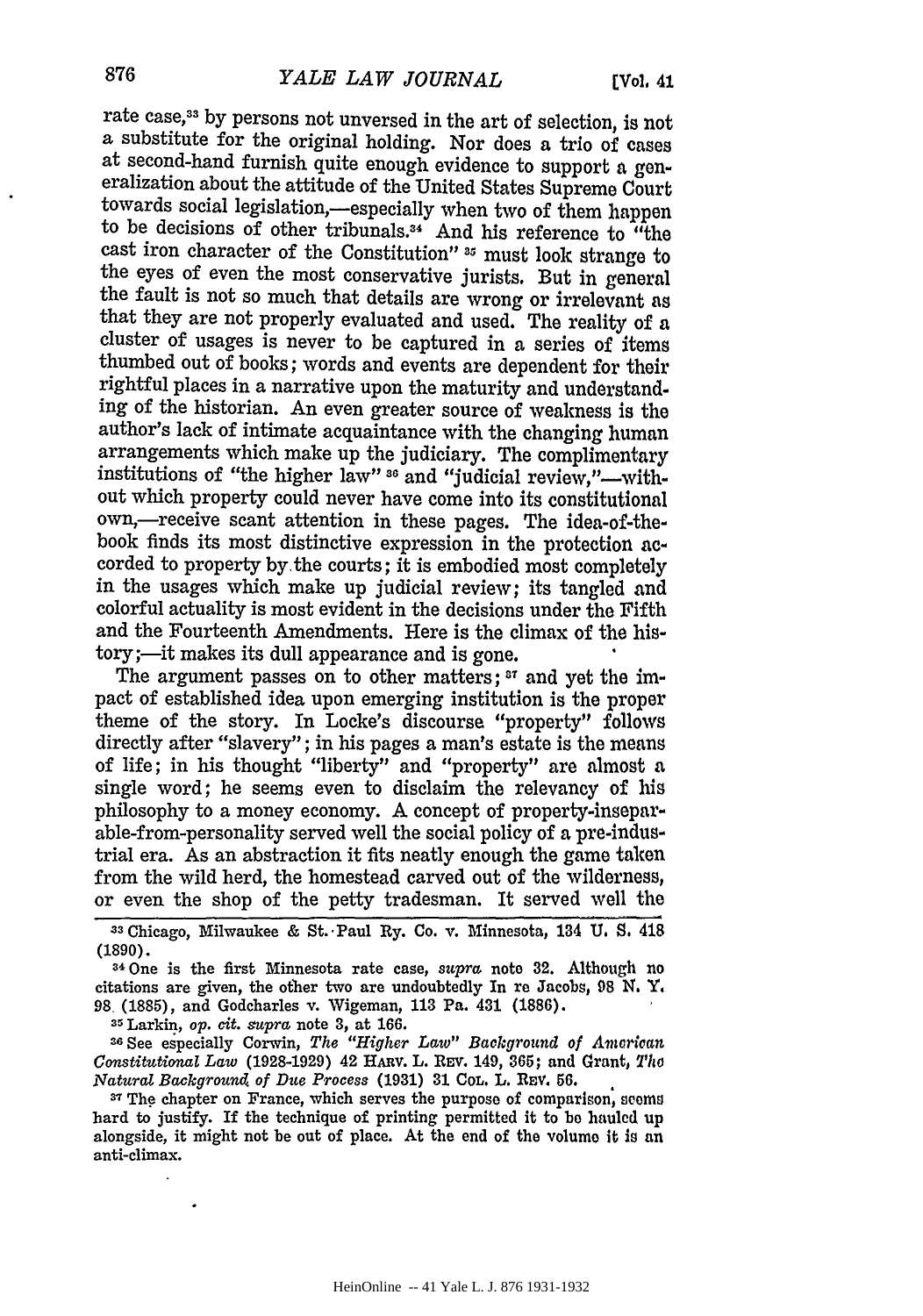rate case,<sup>33</sup> by persons not unversed in the art of selection, is not a substitute for the original holding. Nor does a trio of cases at second-hand furnish quite enough evidence to support a generalization about the attitude of the United States Supreme Court towards social legislation,-especially when two of them happen to be decisions of other tribunals.<sup>34</sup> And his reference to "the cast iron character of the Constitution" 35 must look strange to the eyes of even the most conservative jurists. But in general the fault is not so much that details are wrong or irrelevant as that they are not properly evaluated and used. The reality of a cluster of usages is never to be captured in a series of items thumbed out of books; words and events are dependent for their rightful places in a narrative upon the maturity and understanding of the historian. An even greater source of weakness is the author's lack of intimate acquaintance with the changing human arrangements which make up the judiciary. The complimentary institutions of "the higher law"  $36$  and "judicial review,"—without which property could never have come into its constitutional own,-receive scant attention in these pages. The idea-of-thebook finds its most distinctive expression in the protection accorded to property by.the courts; it is embodied most completely in the usages which make up judicial review; its tangled and colorful actuality is most evident in the decisions under the Fifth and the Fourteenth Amendments. Here is the climax of the history ;—it makes its dull appearance and is gone.

The argument passes on to other matters; *81* and yet the impact of established idea upon emerging institution is the proper theme of the story. In Locke's discourse "property" follows directly after "slavery"; in his pages a man's estate is the means of life; in his thought "liberty" and "property" are almost a single word; he seems even to disclaim the relevancy of his philosophy to a money economy. A concept of property-inseparable-from-personality served well the social policy of a pre-industrial era. As an abstraction it fits neatly enough the game taken from the wild herd, the homestead carved out of the wilderness, or even the shop of the petty tradesman. It served well the

<sup>35</sup> Larkin, op. cit. supra note 3, at 166.

 $\cdot$ 

3G See especially Corwin, *The "Higher Law" Background of American Constitutional Law* (1928-1929) 42 HARV. L. REV. 149, 365; and Grant, Tho *Natural Background. of Due Process* (1931) 31 CoL. L. REV. 56. ,

<sup>37</sup> The chapter on France, which serves the purpose of comparison, seems hard to justify. If the technique of printing permitted it to be hauled up alongside, it might not be out of place. At the end of the volume it ia an anti-climax.

s3 Chicago, Milwaukee & St.·Paul Ry. Co. v. Minnesota, 134 U. S. 418 (1890).

<sup>34</sup> One is the first Minnesota rate case, *supra* note 32. Although no citations are given, the other two are undoubtedly In re Jacobs, 98 N. Y, 98. (1885), and Godcharles v. Wigeman, 113 Pa. 431 (1886).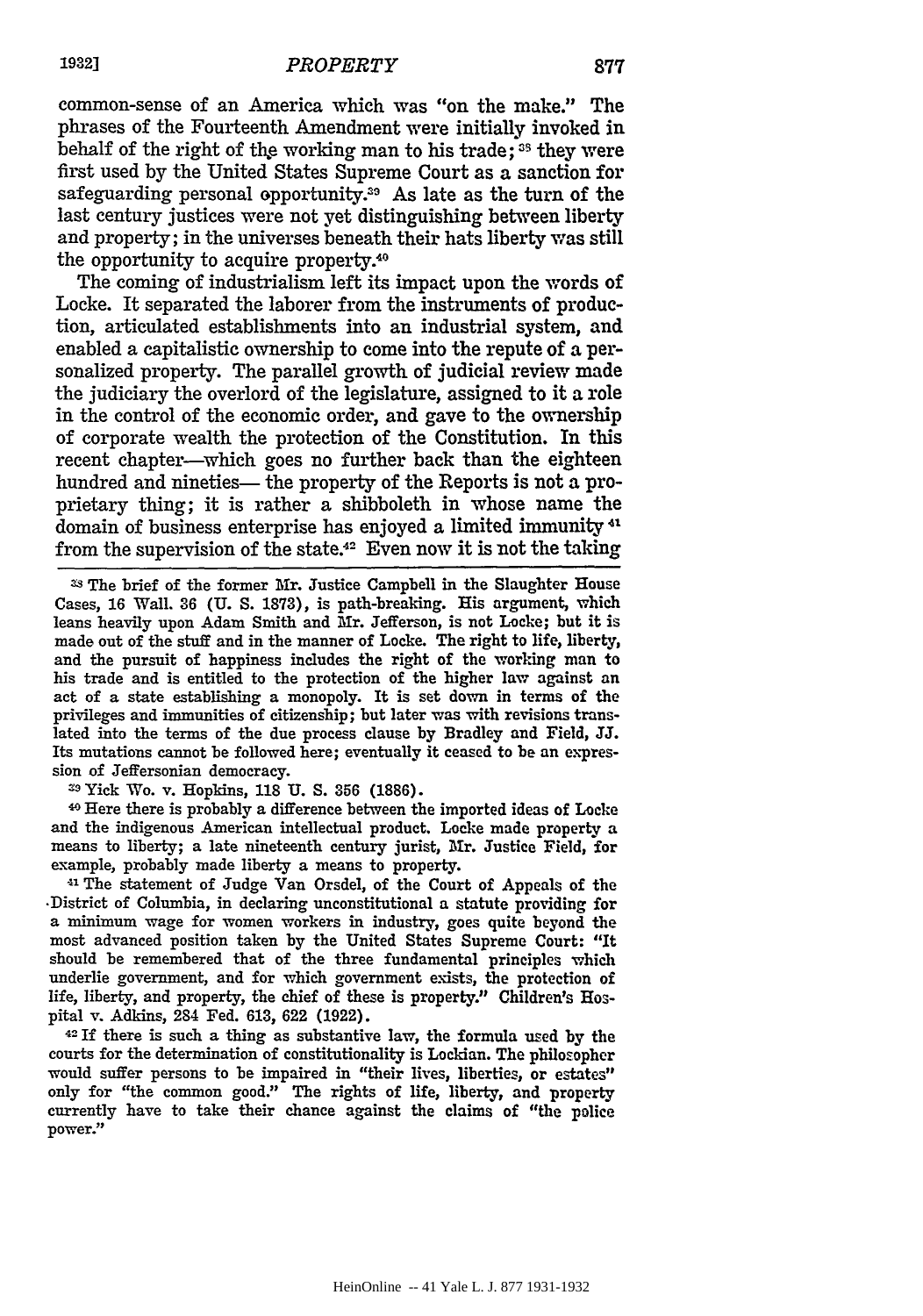common-sense of an America which was "on the make." The phrases of the Fourteenth Amendment were initially invoked in behalf of the right of the working man to his trade;  $35$  they were first used by the United States Supreme Court as a sanction for safeguarding personal opportunity.<sup>39</sup> As late as the turn of the last century justices were not yet distinguishing between liberty and property; in the universes beneath their hats liberty was still the opportunity to acquire property.40

The coming of industrialism left its impact upon the words of Locke. It separated the laborer from the instruments of production, articulated establishments into an industrial system, and enabled a capitalistic ownership to come into the repute of a personalized property. The parallel growth of judicial review made the judiciary the overlord of the legislature, assigned to it a role in the control of the economic order, and gave to the ownership of corporate wealth the protection of the Constitution. In this recent chapter—which goes no further back than the eighteen hundred and nineties— the property of the Reports is not a proprietary thing; it is rather a shibboleth in whose name the domain of business enterprise has enjoyed a limited immunity 41 from the supervision of the state.<sup>42</sup> Even now it is not the taking

*w* Yick Wo. v. Hopkins, 118 U. S. 356 (1886).

<sup>40</sup>Here there is probably a difference between the imported ideas of Locke and the indigenous American intellectual product. Locke made property a means to liberty; a late nineteenth century jurist, Mr. Justice Field, for example, probably made liberty a means to property.

41 The statement of Judge Van Orsdel, of the Court of Appeals of the -District of Columbia, in declaring unconstitutional a statute providing for a minimum wage for women workers in industry, goes quite beyond the most advanced position taken by the United States Supreme Court: "It should be remembered that of the three fundamental principles which underlie government, and for which government exists, the protection of life, liberty, and property, the chief of these is property." Children's Hospital v. Adkins, 284 Fed. 613, 622 (1922).

<sup>4</sup><sup>2</sup>If there is such a thing as substantive law, the formula used by the courts for the determination of constitutionality is Lockian. The philosopher would suffer persons to be impaired in "their lives, liberties, or estates" only for "the common good." The rights of life, liberty, and property currently have to take their chance against the claims of "the police power."

<sup>&</sup>lt;sup>33</sup> The brief of the former Mr. Justice Campbell in the Slaughter House Cases, 16 Wall. 36 (U. S. 1873), is path-breaking. His argument, which leans heavily upon Adam Smith and Mr. Jefferson, is not Locke; but it is made out of the stuff and in the manner of Locke. The right to life, liberty, and the pursuit of happiness includes the right of the working man to his trade and is entitled to the protection of the higher law against an act of a state establishing a monopoly. It is set down in terms of the privileges and immunities of citizenship; but later was with revisions translated into the terms of the due process clause by Bradley and Field, JJ. Its mutations cannot be followed here; eventually it ceased to be an expression of Jeffersonian democracy.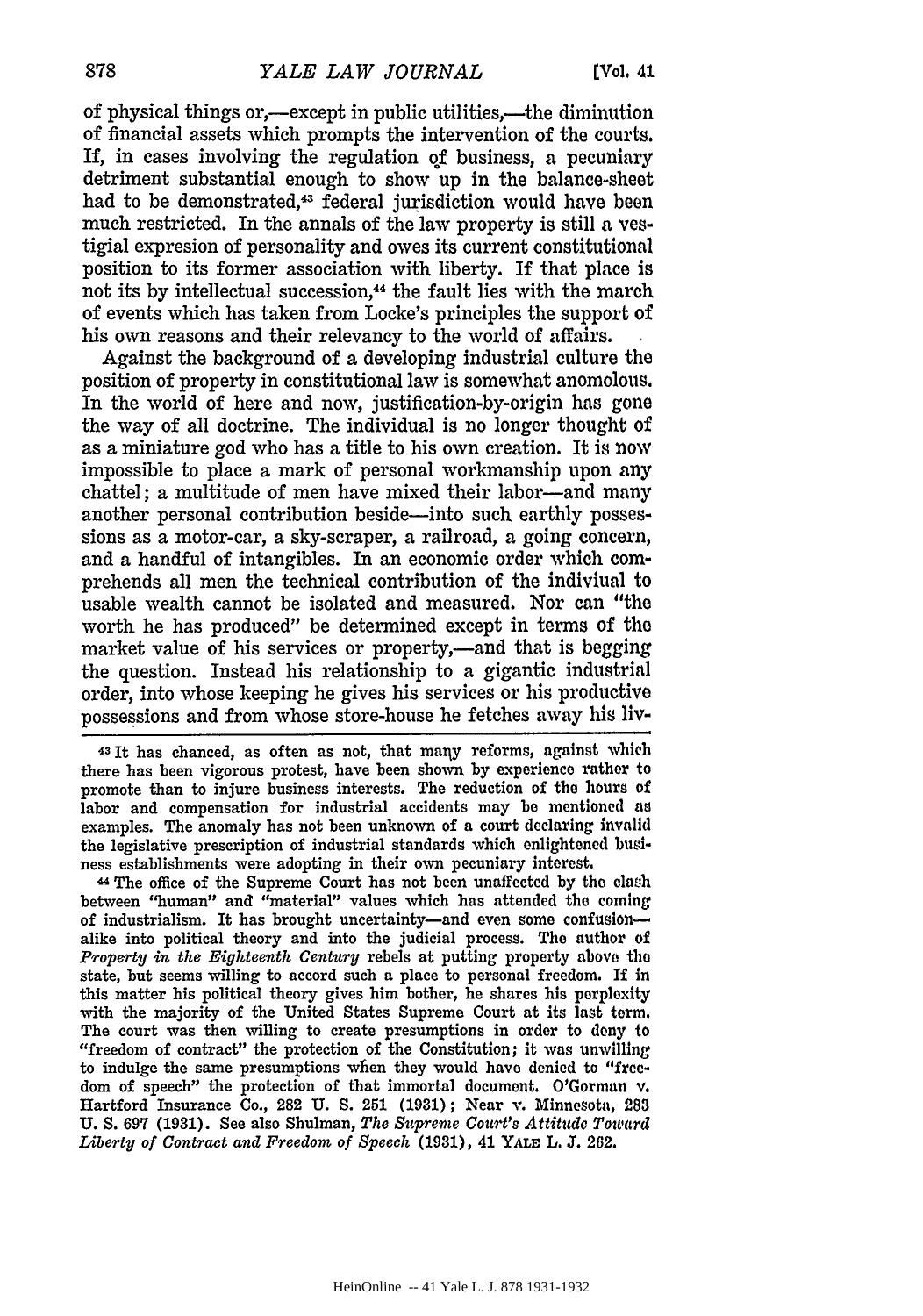of physical things or,—except in public utilities,—the diminution of financial assets which prompts the intervention of the courts. If, in cases involving the regulation of business, a pecuniary detriment substantial enough to show up in the balance-sheet had to be demonstrated,<sup>43</sup> federal jurisdiction would have been much restricted. In the annals of the law property is still a vestigial expresion of personality and owes its current constitutional position to its former association with liberty. If that place is not its by intellectual succession,<sup>44</sup> the fault lies with the march of events which has taken from Locke's principles the support of his own reasons and their relevancy to the world of affairs.

Against the background of a developing industrial culture the position of property in constitutional law is somewhat anomolous. In the world of here and now, justification-by-origin has gone the way of all doctrine. The individual is no longer thought of as a miniature god who has a title to his own creation. It is now impossible to place a mark of personal workmanship upon any chattel; a multitude of men have mixed their labor—and many another personal contribution beside—into such earthly possessions as a motor-car, a sky-scraper, a railroad, a going concern, and a handful of intangibles. In an economic order which comprehends all men the technical contribution of the indiviual to usable wealth cannot be isolated and measured. Nor can "the worth he has produced" be determined except in terms of the market value of his services or property,—and that is begging the question. Instead his relationship to a gigantic industrinl order, into whose keeping he gives his services or his productive possessions and from whose store-house he fetches away his liv-

43 It has chanced, as often as not, that many reforms, against which there has been vigorous protest, have been shown by experience rather to promote than to injure business interests. The reduction of tho hours of labor and compensation for industrial accidents may be mentioned as examples. The anomaly has not been unknown of a court declaring invalid the legislative prescription of industrial standards which enlightened business establishments were adopting in their own pecuniary interest.

<sup>44</sup> The office of the Supreme Court has not been unaffected by the clash between "human" and "material" values which has attended the coming of industrialism. It has brought uncertainty-and even some confusion--alike into political theory and into the judicial process. The author of *Property in the Eighteenth Century* rebels at putting property above the state, but seems willing to accord such a place to personal freedom. If in this matter his political theory gives him bother, he shares his perplexity with the majority of the United States Supreme Court at its last term. The court was then willing to create presumptions in order to deny to "freedom of contract" the protection of the Constitution; it was unwilling to indulge the same presumptions when they would have denied to "freedom of speech" the protection of that immortal document. O'Gorman v. Hartford Insurance Co., 282 U. S. 251 (1931); Near v. Minnesotn, 283 U. S. 697 (1931). See also Shulman, *The Supreme Com'i's Attitude Towcml Liberty of Contract and Freedom of Speech* (1931), 41 YALE L. J. 262.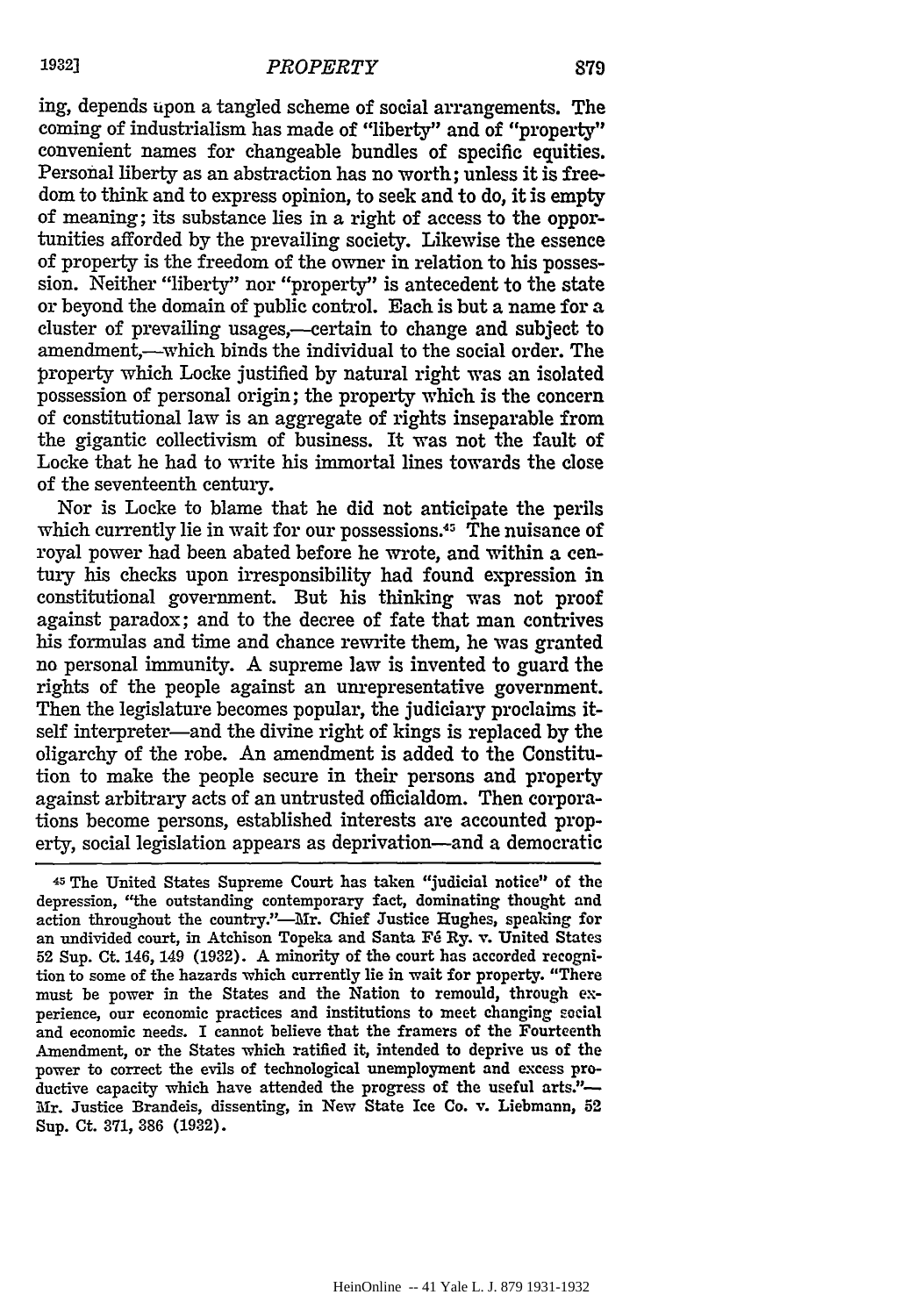ing, depends upon a tangled scheme of social arrangements. The coming of industrialism has made of "liberty" and of "property" convenient names for changeable bundles of specific equities. Personal liberty as an abstraction has no worth; unless it is freedom to think and to express opinion, to seek and to do, it is empty of meaning; its substance lies in a right of access to the opportunities afforded by the prevailing society. Likewise the essence of property is the freedom of the owner in relation to his possession. Neither "liberty'' nor "property'' is antecedent to the state or beyond the domain of public control. Each is but a name for a cluster of prevailing usages,—certain to change and subject to amendment,—which binds the individual to the social order. The property which Locke justified by natural right was an isolated possession of personal origin; the property which is the concern of constitutional law is an aggregate of rights inseparable from the gigantic collectivism of business. It was not the fault of Locke that he had to write his immortal lines towards the close of the seventeenth century.

Nor is Locke to blame that he did not anticipate the perils which currently lie in wait for our possessions.<sup>45</sup> The nuisance of royal power had been abated before he wrote, and within a century his checks upon irresponsibility had found expression in constitutional government. But his thinking was not proof against paradox; and to the decree of fate that man contrives his formulas and time and chance rewrite them, he was granted no personal immunity. A supreme law is invented to guard the rights of the people against an unrepresentative government. Then the legislature becomes popular, the judiciary proclaims itself interpreter—and the divine right of kings is replaced by the oligarchy of the robe. An amendment is added to the Constitution to make the people secure in their persons and property against arbitrary acts of an untrusted officialdom. Then corporations become persons, established interests are accounted property, social legislation appears as deprivation—and a democratic

<sup>45</sup> The United States Supreme Court has taken "judicial notice" of the depression, "the outstanding contemporary fact, dominating thought and action throughout the country."-Mr. Chief Justice Hughes, speaking for an undivided court, in Atchison Topeka and Santa Fé Ry. v. United States 52 Sup. Ct.146, 149 (1932). A minority of the court has accorded recognition to some of the hazards which currently lie in wait for property. "There must be power in the States and the Nation to remould, through experience, our economic practices and institutions to meet changing social and economic needs. I cannot believe that the framers of the Fourteenth Amendment, or the States which ratified it, intended to deprive us of the power to correct the evils of technological unemployment and excess productive capacity which have attended the progress of the useful arts."-Mr. Justice Brandeis, dissenting, in New State Ice Co. v. Liebmann, 52 Sup. Ct. 371, 386 (1932).